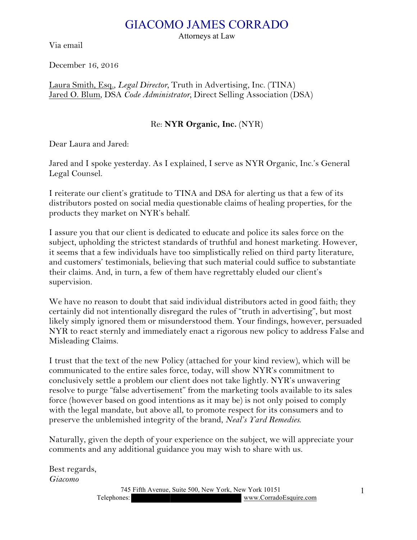## GIACOMO JAMES CORRADO

Via email

Attorneys at Law

December 16, 2016

Laura Smith, Esq., *Legal Director,* Truth in Advertising, Inc. (TINA) Jared O. Blum, DSA *Code Administrator,* Direct Selling Association (DSA)

## Re: **NYR Organic, Inc.** (NYR)

Dear Laura and Jared:

Jared and I spoke yesterday. As I explained, I serve as NYR Organic, Inc.'s General Legal Counsel.

I reiterate our client's gratitude to TINA and DSA for alerting us that a few of its distributors posted on social media questionable claims of healing properties, for the products they market on NYR's behalf.

I assure you that our client is dedicated to educate and police its sales force on the subject, upholding the strictest standards of truthful and honest marketing. However, it seems that a few individuals have too simplistically relied on third party literature, and customers' testimonials, believing that such material could suffice to substantiate their claims. And, in turn, a few of them have regrettably eluded our client's supervision.

We have no reason to doubt that said individual distributors acted in good faith; they certainly did not intentionally disregard the rules of "truth in advertising", but most likely simply ignored them or misunderstood them. Your findings, however, persuaded NYR to react sternly and immediately enact a rigorous new policy to address False and Misleading Claims.

I trust that the text of the new Policy (attached for your kind review), which will be communicated to the entire sales force, today, will show NYR's commitment to conclusively settle a problem our client does not take lightly. NYR's unwavering resolve to purge "false advertisement" from the marketing tools available to its sales force (however based on good intentions as it may be) is not only poised to comply with the legal mandate, but above all, to promote respect for its consumers and to preserve the unblemished integrity of the brand, *Neal's Yard Remedies*.

Naturally, given the depth of your experience on the subject, we will appreciate your comments and any additional guidance you may wish to share with us.

Best regards, *Giacomo*

> 745 Fifth Avenue, Suite 500, New York, New York 10151 Telephones: www.CorradoEsquire.com

1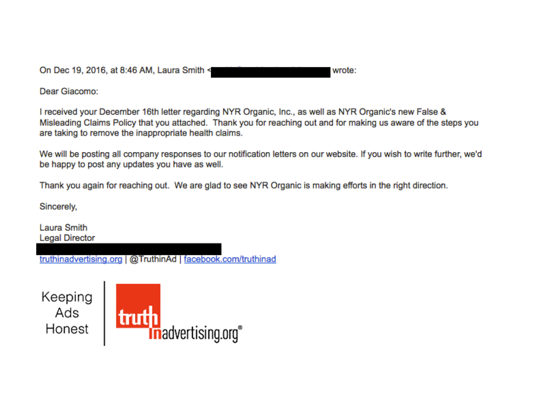On Dec 19, 2016, at 8:46 AM, Laura Smith <

wrote:

Dear Giacomo:

I received your December 16th letter regarding NYR Organic, Inc., as well as NYR Organic's new False & Misleading Claims Policy that you attached. Thank you for reaching out and for making us aware of the steps you are taking to remove the inappropriate health claims.

We will be posting all company responses to our notification letters on our website. If you wish to write further, we'd be happy to post any updates you have as well.

Thank you again for reaching out. We are glad to see NYR Organic is making efforts in the right direction.

Sincerely,